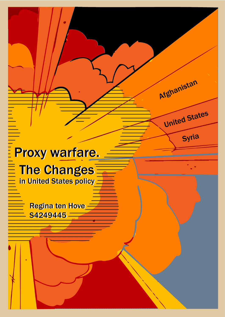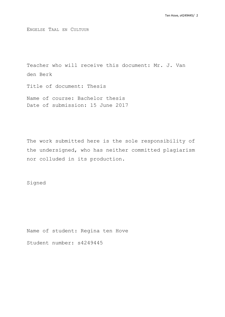ENGELSE TAAL EN CULTUUR

Teacher who will receive this document: Mr. J. Van den Berk

Title of document: Thesis

Name of course: Bachelor thesis Date of submission: 15 June 2017

The work submitted here is the sole responsibility of the undersigned, who has neither committed plagiarism nor colluded in its production.

Signed

Name of student: Regina ten Hove

Student number: s4249445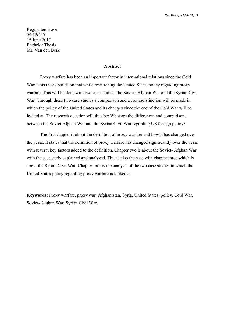Regina ten Hove S4249445 15 June 2017 Bachelor Thesis Mr. Van den Berk

### **Abstract**

Proxy warfare has been an important factor in international relations since the Cold War. This thesis builds on that while researching the United States policy regarding proxy warfare. This will be done with two case studies: the Soviet- Afghan War and the Syrian Civil War. Through these two case studies a comparison and a contradistinction will be made in which the policy of the United States and its changes since the end of the Cold War will be looked at. The research question will thus be: What are the differences and comparisons between the Soviet Afghan War and the Syrian Civil War regarding US foreign policy?

The first chapter is about the definition of proxy warfare and how it has changed over the years. It states that the definition of proxy warfare has changed significantly over the years with several key factors added to the definition. Chapter two is about the Soviet- Afghan War with the case study explained and analyzed. This is also the case with chapter three which is about the Syrian Civil War. Chapter four is the analysis of the two case studies in which the United States policy regarding proxy warfare is looked at.

**Keywords:** Proxy warfare, proxy war, Afghanistan, Syria, United States, policy, Cold War, Soviet- Afghan War, Syrian Civil War.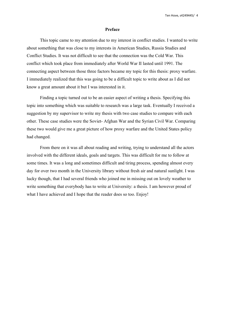### **Preface**

This topic came to my attention due to my interest in conflict studies. I wanted to write about something that was close to my interests in American Studies, Russia Studies and Conflict Studies. It was not difficult to see that the connection was the Cold War. This conflict which took place from immediatelyafter World War II lasted until 1991. The connecting aspect between those three factors became my topic for this thesis: proxy warfare. I immediately realized that this was going to be a difficult topic to write about as I did not know a great amount about it but I was interested in it.

Finding a topic turned out to be an easier aspect of writing a thesis. Specifying this topic into something which was suitable to research was a large task. Eventually I received a suggestion by my supervisor to write my thesis with two case studies to compare with each other. These case studies were the Soviet- Afghan War and the Syrian Civil War. Comparing these two would give me a great picture of how proxy warfare and the United States policy had changed.

From there on it was all about reading and writing, trying to understand all the actors involved with the different ideals, goals and targets. This was difficult for me to follow at some times. It was a long and sometimes difficult and tiring process, spending almost every day for over two month in the University library without fresh air and natural sunlight. I was lucky though, that I had several friends who joined me in missing out on lovely weather to write something that everybody has to write at University: a thesis. I am however proud of what I have achieved and I hope that the reader does so too. Enjoy!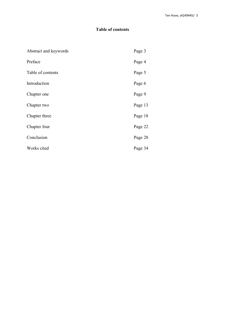# **Table of contents**

| Abstract and keywords | Page 3  |
|-----------------------|---------|
| Preface               | Page 4  |
| Table of contents     | Page 5  |
| Introduction          | Page 6  |
| Chapter one           | Page 9  |
| Chapter two           | Page 13 |
| Chapter three         | Page 18 |
| Chapter four          | Page 22 |
| Conclusion            | Page 28 |
| Works cited           | Page 34 |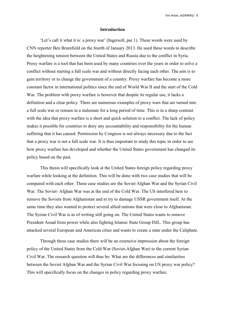### **Introduction**

'Let's call it what it is: a proxy war' (Ingersoll, par.1). These words were used by CNN reporter Ben Brumfield on the fourth of January 2013. He used these words to describe the heightening tension between the United States and Russia due to the conflict in Syria. Proxy warfare is a tool that has been used by many countries over the years in order to solve a conflict without starting a full scale war and without directly facing each other. The aim is to gain territory or to change the government of a country. Proxy warfare has become a more constant factor in international politics since the end of World War II and the start of the Cold War. The problem with proxy warfare is however that despite its regular use, it lacks a definition and a clear policy. There are numerous examples of proxy warsthat are turned into a full scale war or remain in a stalemate for a long period of time. This is in a sharp contrast with the idea that proxy warfare is a short and quick solution to a conflict. The lack of policy makes it possible for countries to deny any accountability and responsibility for the human suffering that it has caused. Permission by Congress is not always necessary due to the fact that a proxy war is nota full scale war. It is thus important to study this topic in order to see how proxy warfare has developed and whether the United States government has changed its policy based on the past.

This thesis will specifically look at the United States foreign policy regarding proxy warfare while looking at the definition. This will be done with two case studies that will be compared with each other. These case studies are the Soviet Afghan War and the Syrian Civil War. The Soviet- Afghan War was at the end of the Cold War. The US interfered here to remove the Soviets from Afghanistan and to try to damage USSR government itself. At the same time they also wanted to protect several allied nations that were close to Afghanistan. The Syrian Civil War is as of writing still going on. The United States wants to remove President Assad from power while also fighting Islamic State Group ISIL. This group has attacked several European and American cities and wants to create a state under the Caliphate.

Through these case studies there will be an extensive impression about the foreign policy of the United States from the Cold War (Soviet-Afghan War) to the current Syrian Civil War. The research question will thus be: What are the differences and similarities between the Soviet Afghan War and the Syrian Civil War focusing on US proxy war policy? This will specifically focus on the changes in policy regarding proxy warfare.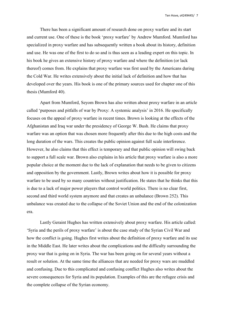There has been a significant amount of research done on proxy warfare and its start and current use. One of these is the book 'proxy warfare' by Andrew Mumford. Mumford has specialized in proxy warfare and has subsequently written a book about its history, definition and use. He was one of the first to do so and is thus seen as a leading expert on this topic. In his book he gives an extensive history of proxy warfare and where the definition (or lack thereof) comes from. He explains that proxy warfare was first used by the Americans during the Cold War. He writes extensively about the initial lack of definition and how that has developed over the years. His book is one of the primary sources used for chapter one of this thesis (Mumford 40).

Apart from Mumford, Seyom Brown has also written about proxy warfare in an article called 'purposes and pitfalls of war by Proxy: A systemic analysis' in 2016. He specifically focuses on the appeal of proxy warfare in recent times. Brown is looking at the effects of the Afghanistan and Iraq war under the presidency of George W. Bush. He claims that proxy warfare was an option that was chosen more frequently after this due to the high costs and the long duration of the wars. This creates the public opinion against full scale interference. However, he also claims that this effect is temporary and that public opinion will swing back to support a full scale war. Brown also explains in his article that proxy warfare is also a more popular choice at the moment due to the lack of explanation that needs to be given to citizens and opposition by the government. Lastly, Brown writes about how it is possible for proxy warfare to be used by so many countries without justification. He states that he thinks that this is due to a lack of major power players that control world politics. There is no clear first, second and third world system anymore and that creates an unbalance (Brown 252). This unbalance was created due to the collapse of the Soviet Union and the end of the colonization era.

Lastly Geraint Hughes has written extensively about proxy warfare. His article called: 'Syria and the perils of proxy warfare' is about the case study of the Syrian Civil War and how the conflict is going. Hughes first writes about the definition of proxy warfare and its use in the Middle East. He later writes about the complications and the difficulty surrounding the proxy war that is going on in Syria. The war has been going on for several years without a result or solution. At the same time the alliances that are needed for proxy wars are muddled and confusing. Due to this complicated and confusing conflict Hughes also writes about the severe consequences for Syria and its population. Examples of this are the refugee crisis and the complete collapse of the Syrian economy.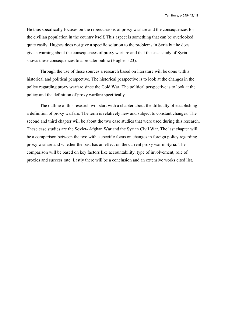He thus specifically focuses on the repercussions of proxy warfare and the consequences for the civilian population in the country itself. This aspect is something that can be overlooked quite easily. Hughes does not give a specific solution to the problems in Syria but he does give a warning about the consequences of proxy warfare and that the case study of Syria shows these consequences to a broader public (Hughes 523).

Through the use of these sources a research based on literature will be done with a historical and political perspective. The historical perspective is to look at the changes in the policy regarding proxy warfare since the Cold War. The political perspective is to look at the policy and the definition of proxy warfare specifically.

The outline of this research will start with a chapter about the difficulty of establishing a definition of proxy warfare. The term is relatively new and subject to constant changes. The second and third chapter will be about the two case studies that were used during this research. These case studies are the Soviet- Afghan War and the Syrian Civil War. The last chapter will be a comparison between the two with a specific focus on changes in foreign policy regarding proxy warfare and whether the past has an effect on the current proxy war in Syria. The comparison will be based on key factors like accountability, type of involvement, role of proxies and success rate. Lastly there will be a conclusion and an extensive works cited list.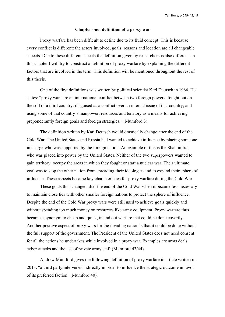### **Chapter one:definition of a proxy war**

Proxy warfare has been difficult to define due to its fluid concept. This is because every conflict is different: the actors involved, goals, reasons and location are all changeable aspects. Due to these different aspects the definition given by researchers is also different. In this chapter I will try to construct a definition of proxy warfare by explaining the different factors that are involved in the term. This definition will be mentioned throughout the rest of this thesis.

One of the first definitions was written by political scientist Karl Deutsch in 1964. He states: "proxy wars are an international conflict between two foreign powers, fought out on the soil of a third country; disguised as a conflict over an internal issue of that country; and using some of that country's manpower, resources and territory as a means for achieving preponderantly foreign goals and foreign strategies." (Mumford 3).

The definition written by Karl Deutsch would drastically change after the end of the Cold War. The United States and Russia had wanted to achieve influence by placing someone in charge who was supported by the foreign nation. An example of this is the Shah in Iran who was placed into power by the United States. Neither of the two superpowers wanted to gain territory, occupy the areas in which they fought or start a nuclear war. Their ultimate goal was to stop the other nation from spreading their ideologies and to expand their sphere of influence. These aspects became key characteristics for proxy warfare during the Cold War.

These goals thus changed after the end of the Cold War when it became less necessary to maintain close ties with other smaller foreign nations to protect the sphere of influence. Despite the end of the Cold War proxy wars were still used to achieve goals quickly and without spending too much money on resources like army equipment. Proxy warfare thus became a synonym to cheap and quick, in and out warfare that could be done covertly. Another positive aspect of proxy wars for the invading nation is that it could be done without the full support of the government. The President of the United States does not need consent for all the actions he undertakes while involved in a proxy war. Examples are arms deals, cyber-attacks and the use of private army staff (Mumford 43/44).

Andrew Mumford gives the following definition of proxy warfare in article written in 2013: "a third party intervenes indirectly in order to influence the strategic outcome in favor of its preferred faction" (Mumford 40).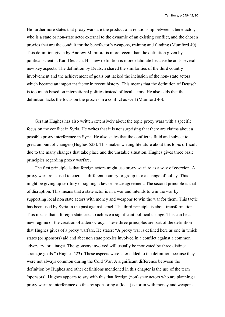He furthermore states that proxy wars are the product of a relationship between a benefactor, who is a state or non-state actor external to the dynamic of an existing conflict, and the chosen proxies that are the conduit for the benefactor's weapons, training and funding (Mumford 40). This definition given by Andrew Mumford is more recent than the definition given by political scientist Karl Deutsch. His new definition is more elaborate because he adds several new key aspects. The definition by Deutsch shared the similarities of the third country involvement and the achievement of goals but lacked the inclusion of the non-state actors which became an important factor in recent history. This means that the definition of Deutsch is too much based on international politics instead of local actors. He also adds that the definition lacks the focus on the proxies in a conflict as well (Mumford 40).

Geraint Hughes has also written extensively about the topic proxy wars with a specific focus on the conflict in Syria. He writes that it is not surprising that there are claims about a possible proxy interference in Syria. He also states that the conflict is fluid and subject to a great amount of changes (Hughes 523). This makes writing literature about this topic difficult due to the many changes that take place and the unstable situation. Hughes gives three basic principles regarding proxy warfare.

The first principle is that foreign actors might use proxy warfare as a way of coercion. A proxy warfare is used to coerce a different country or group into a change of policy. This might be giving up territory or signing a law or peace agreement. The second principle is that of disruption. This means that a state actor is in a war and intends to win the warby supporting local non state actors with money and weapons to win the war for them. This tactic has been used by Syria in the past against Israel. The third principle is about transformation. This means that a foreign state tries to achieve a significant political change. This can be a new regime or the creation of a democracy. These three principles are part of the definition that Hughes gives of a proxy warfare. He states: "A proxy war is defined here as one in which states (or sponsors) aid and abet non state proxies involved in a conflict against a common adversary, or a target. The sponsors involved will usually be motivated by three distinct strategic goals." (Hughes 523). These aspects were lateradded to the definition because they were not always common during the Cold War. A significant difference between the definition by Hughes and other definitions mentioned in this chapter is the use of the term 'sponsors'. Hughes appears to say with this that foreign (non) state actors who are planning a proxy warfare interference do this by sponsoring a (local) actor in with money and weapons.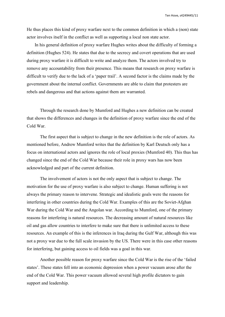He thus places this kind of proxy warfare next to the common definition in which a (non) state actor involves itself in the conflict as well as supporting a local non state actor.

In his general definition of proxy warfare Hughes writes about the difficulty of forming a definition (Hughes 524). He states that due to the secrecy and covert operations that are used during proxy warfare it is difficult to write and analyze them. The actors involved try to remove any accountability from their presence. This means that research on proxy warfare is difficult to verify due to the lack of a 'paper trail'. A second factor is the claims made by the government about the internal conflict. Governments are able to claim that protesters are rebels and dangerous and that actions against them are warranted.

Through the research done by Mumford and Hughes a new definition can be created that shows the differences and changes in the definition of proxy warfare since the end of the Cold War.

The first aspect that is subject to change in the new definition is the role of actors. As mentioned before, Andrew Mumford writes that the definition by Karl Deutsch only has a focus on international actors and ignores the role of local proxies (Mumford 40). This thus has changed since the end of the Cold War because their role in proxy wars has now been acknowledged and part of the current definition.

The involvement of actors is not the only aspect that is subject to change. The motivation for the use of proxy warfare is also subject to change. Human suffering is not always the primary reason to intervene. Strategic and idealistic goals were the reasons for interfering in other countries during the Cold War. Examples of this are the Soviet-Afghan War during the Cold War and the Angolan war. According to Mumford, one of the primary reasons for interfering is natural resources. The decreasing amount of natural resources like oil and gas allow countries to interfere to make sure that there is unlimited access to these resources. An example of this is the inferences in Iraq during the GulfWar, although this was not a proxy war due to the full scale invasion by the US. There were in this case other reasons for interfering, but gaining access to oil fields was a goal in this war.

Another possible reason for proxy warfare since the Cold War is the rise of the 'failed states'. These states fell into an economic depression when a power vacuum arose after the end of the Cold War. This power vacuum allowed several high profile dictators to gain support and leadership.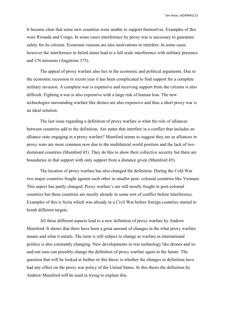It became clear that some new countries were unable to support themselves. Examples of this were Rwanda and Congo. In some cases interference by proxy war is necessary to guarantee safety for its citizens. Economic reasons are also motivations to interfere. In some cases however the interference in failed states lead to a full scale interference with military presence and UN missions (Angstrom 375).

The appeal of proxy warfare also lies in the economic and political arguments. Due to the economic recession in recent year it has been complicated to find support for a complete military invasion. A complete war is expensive and receiving support from the citizens is also difficult. Fighting a war is also expensive with a large risk of human loss. The new technologies surrounding warfare like drones are also expensive and thus a short proxy war is an ideal solution.

The last issue regarding a definition of proxy warfare is what the role of alliances between countries add to the definition. Are states that interfere in a conflict that includes an alliance state engaging in a proxy warfare? Mumford seems to suggest they are as alliances in proxy wars are more common now due to the multilateral world position and the lack of two dominant countries (Mumford 45). They do this to show their collective security but there are boundaries in that support with only support from a distance given (Mumford 45).

The location of proxy warfare has also changed the definition. During the Cold War two major countries fought against each other in smaller post- colonial countries like Vietnam. This aspect has partly changed. Proxy warfare's are still mostly fought in post-colonial countries but these countries are mostly already in some sort of conflict before interference. Examples of this is Syria which was already in a Civil War before foreign countries started to bomb different targets.

All these different aspects lead to a new definition of proxy warfare by Andrew Mumford. It shows that there have been a great amount of changes in the what proxy warfare means and what it entails. The term is still subject to change as warfare in international politics is also constantly changing. New developments in war technology like drones and in and-out runs can possibly change the definition of proxy warfare again in the future. The question that will be looked at further in this thesis is whether the changes in definition have had any effect on the proxy war policy of the United States. In this thesis the definition by Andrew Mumford will be used in trying to explain this.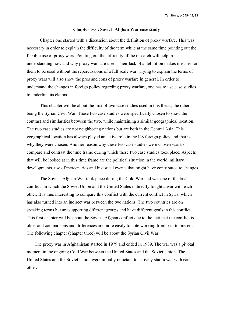#### **Chapter two: Soviet- Afghan War case study**

Chapter one started with a discussion about the definition of proxy warfare. This was necessary in order to explain the difficulty of the term while at the same time pointing out the flexible use of proxy wars. Pointing out the difficulty of the research will help in understanding how and why proxy wars are used. Their lack of a definition makes it easier for them to be used without the repercussions of a full scale war. Trying to explain the terms of proxy wars will also show the pros and cons of proxy warfare in general. In order to understand the changes in foreign policy regarding proxy warfare, one has to use case studies to underline its claims.

This chapter will be about the first of two case studies used in this thesis, the other being the Syrian Civil War. These two case studies were specifically chosen to show the contrast and similarities between the two, while maintaining a similar geographical location. The two case studies are not neighboring nations but are both in the Central Asia. This geographical location has always played an active role in the US foreign policy and that is why they were chosen. Another reason why these two case studies were chosen was to compare and contrast the time frame during which these two case studies took place. Aspects that will be looked at in this time frame are the political situation in the world, military developments, use of mercenaries and historical events that might have contributed to changes.<br>The Soviet- Afghan War took place during the Cold War and was one of the last

conflicts in which the Soviet Union and the United States indirectly fought a war with each other. It is thus interesting to compare this conflict with the current conflict in Syria, which has also turned into an indirect war between the two nations. The two countries are on speaking terms but are supporting different groups and have different goals in this conflict. This first chapter will be about the Soviet- Afghan conflict due to the fact that the conflict is older and comparisons and differences are more easily to note working from past to present. The following chapter (chapter three) will be about the Syrian Civil War.

The proxy war in Afghanistan started in 1979 and ended in 1989. The war was a pivotal moment in the ongoing Cold War between the United States and the Soviet Union. The United States and the Soviet Union were initially reluctant to actively start a war with each other.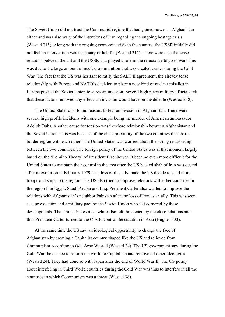The Soviet Union did not trust the Communist regime that had gained power in Afghanistan either and was also wary of the intentions of Iran regarding the ongoing hostage crisis (Westad 315). Along with the ongoing economic crisis in the country, the USSR initially did not feel an intervention was necessary or helpful (Westad 315). There were also the tense relations between the US and the USSR that played a role in the reluctance to go to war. This was due to the large amount of nuclear ammunition that was created earlier during the Cold War. The fact that the US was hesitant to ratify the SALT II agreement, the already tense relationship with Europe and NATO's decision to place a new kind of nuclear missiles in Europe pushed the Soviet Union towards an invasion. Several high place military officials felt that these factors removed any effects an invasion would have on the détente (Westad 318).

The United States also found reasons to fear an invasion in Afghanistan. There were several high profile incidents with one example being the murder of American ambassador Adolph Dubs. Another cause for tension was the close relationship between Afghanistan and the Soviet Union. This was because of the close proximity of the two countries that share a border region with each other. The United States was worried about the strong relationship between the two countries. The foreign policy of the United States was at that moment largely based on the 'Domino Theory' of President Eisenhower. It became even more difficult for the United States to maintain their control in the area after the US backed shah of Iran was ousted after a revolution in February 1979. The loss of this ally made the US decide to send more troops and ships to the region. The US also tried to improve relations with other countries in the region like Egypt, Saudi Arabia and Iraq. President Carter also wanted to improve the relations with Afghanistan's neighbor Pakistan after the loss of Iran as an ally. This was seen as a provocation and a military pact by the Soviet Union who felt cornered by these developments. The United States meanwhile also felt threatened by the close relations and thus President Carter turned to the CIA to control the situation in Asia (Hughes 333).

At the same time the US saw an ideological opportunity to change the face of Afghanistan by creating a Capitalist country shaped like the US and relieved from Communism according to Odd Arne Westad (Westad 24). The US government saw during the Cold War the chance to reform the world to Capitalism and remove all other ideologies (Westad 24). They had done so with Japan after the end of World War II. The US policy about interfering in Third World countries during the Cold War was thus to interfere in all the countries in which Communism was a threat (Westad 38).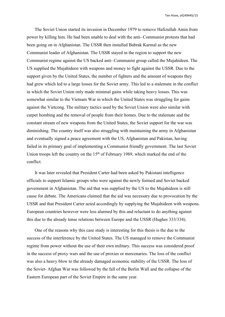The Soviet Union started its invasion in December 1979 to remove Hafizullah Amin from power by killing him. He had been unable to deal with the anti-Communist protests that had been going on in Afghanistan. The USSR then installed Babrak Karmal as the new Communist leader of Afghanistan. The USSR stayed in the region to support the new Communist regime against the US backed anti- Communist group called the Mujahideen. The US supplied the Mujahideen with weapons and money to fight against the USSR. Due to the support given by the United States, the number of fighters and the amount of weapons they had grew which led to a large losses for the Soviet army. This led to a stalemate in the conflict in which the Soviet Union only made minimal gains while taking heavy losses. This was somewhat similar to the Vietnam War in which the United States was struggling for gains against the Vietcong. The military tactics used by the SovietUnion were also similar with carpet bombing and the removal of people from their homes. Due to the stalemate and the constant stream of new weapons from the United States, the Soviet support for the war was diminishing. The country itself was also struggling with maintaining the army in Afghanistan and eventually signed a peace agreement with the US, Afghanistan and Pakistan, having failed in its primary goal of implementing a Communist friendly government. The last Soviet Union troops left the country on the 15<sup>th</sup> of February 1989, which marked the end of the conflict.

It was later revealed that President Carter had been asked by Pakistani intelligence officials to support Islamic groups who were againstthe newly formed and Soviet backed government in Afghanistan. The aid that was supplied by the US to the Mujahideen is still cause for debate. The Americans claimed that the aid was necessary due to provocation by the USSR and that President Carter acted accordingly by supplying the Mujahideen with weapons. European countries however were less alarmed by this and reluctant to do anything against this due to the already tense relations between Europe and the USSR (Hughes 333/334).

One of the reasons why this case study is interesting for this thesis is the due to the success of the interference by the United States. The US managed to remove the Communist regime from power without the use of their own military. This success was considered proof in the success of proxy wars and the use of proxies or mercenaries. The loss of the conflict was also a heavy blow to the already damaged economic stability of the USSR. The loss of the Soviet- Afghan War was followed by the fall of the Berlin Wall and the collapse of the Eastern European part of the Soviet Empire in the same year.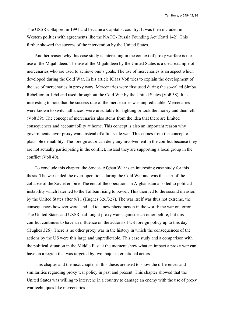The USSR collapsed in 1991 and became a Capitalist country. It was then included in Western politics with agreements like the NATO- Russia Founding Act (Ratti 142). This further showed the success of the intervention by the United States.

Another reason why this case study is interesting in the contextof proxy warfare is the use of the Mujahideen. The use of the Mujahideen by the United States is a clear example of mercenaries who are used to achieve one's goals. The use of mercenaries is an aspect which developed during the Cold War. In his article Klaas Voß tries to explain the development of the use of mercenaries in proxy wars. Mercenaries were first used during the so-called Simba Rebellion in 1964 and used throughout the Cold War by the United States (Voß 38). It is interesting to note that the success rate of the mercenaries was unpredictable. Mercenaries were known to switch alliances, were unsuitable for fighting or took the money and then left (Voß 39). The concept of mercenaries also stems from the idea that there are limited consequences and accountability at home. This concept is also an important reason why governments favor proxy warsinstead of a full scale war. This comes from the concept of plausible deniability. The foreign actor can deny any involvement in the conflict because they are not actually participating in the conflict, instead they are supporting a local group in the conflict (Voß 40).

To conclude this chapter, the Soviet- Afghan War is an interesting case study for this thesis. The war ended the overt operations during the Cold War and was the start of the collapse of the Soviet empire. The end of the operations in Afghanistan also led to political instability which later led to the Taliban rising to power. This then led to the second invasion by the United States after 9/11 (Hughes 326/327). The war itself was thus not extreme, the consequences however were, and led to a new phenomenon in the world: the war on terror. The United States and USSR had fought proxy wars against each other before, but this conflict continues to have an influence on the actions of US foreign policy up to this day (Hughes 326). There is no other proxy war in the history in which the consequences of the actions by the US were this large and unpredictable. This case study and a comparison with the political situation in the Middle East at the moment show what an impact a proxy war can have on a region that was targeted by two major international actors.

This chapter and the next chapter in this thesis are used to show the differences and similarities regarding proxy war policy in past and present. This chapter showed that the United States was willing to intervene in a country to damage an enemy with the use of proxy war techniques like mercenaries.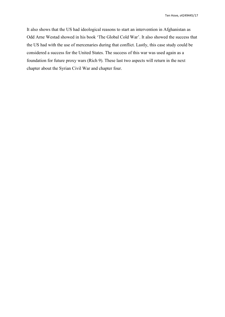It also shows that the US had ideological reasons to start an intervention in Afghanistan as Odd Arne Westad showed in his book 'The Global Cold War'. It also showed the success that the US had with the use of mercenaries during that conflict. Lastly, this case study could be considered a success for the United States. The success of this war was used again as a foundation for future proxy wars(Rich 9). These last two aspects will return in the next chapter about the Syrian Civil War and chapter four.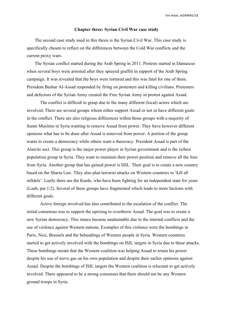### **Chapter three: Syrian Civil War case study**

The second case study used in this thesis is the Syrian Civil War. This case study is specifically chosen to reflect on the differences between the Cold War conflicts and the current proxy wars.

The Syrian conflict started during the Arab Spring in 2011. Protests started in Damascus when several boys were arrested after they sprayed graffiti in support of the Arab Spring campaign. It was revealed that the boys were tortured and this was fatal for one of them. President Bashar Al-Assad responded by firing on protesters and killing civilians. Protesters and defectors of the Syrian Army created the Free Syrian Army in protest against Assad.

The conflict is difficult to grasp due to the many different (local) actors which are involved. There are several groups whom either support Assad or not or have different goals in the conflict. There are also religious differences within those groups with a majority of Sunni Muslims in Syria wanting to remove Assad from power. They have however different opinions what has to be done after Assad is removed from power. A portion of the group wants to create a democracy while others want a theocracy. President Assad is part of the Alawite sect. This group is the major power player in Syrian government and is the richest population group in Syria. They want to maintain their power position and remove all the foes from Syria. Another group that has gained power is ISIL. Their goal is to create a new country based on the Sharia Law. They also plan terrorist attacks on Western countries to 'kill all infidels'. Lastly there are the Kurds, who have been fighting for an independent state for years (Laub, par.1/2). Several of these groups have fragmented which leads to more factions with different goals.

Active foreign involved has also contributed to the escalation of the conflict. The initial consensus was to support the uprising to overthrow Assad. The goal was to create a new Syrian democracy. This stance became unattainable due to the internal conflicts and the use of violence against Western nations. Examples of this violence were the bombings in Paris, Nice, Brussels and the beheadings of Western people in Syria. Western countries started to get actively involved with the bombings on ISIL targets in Syria due to these attacks. These bombings meant that the Western coalition was helping Assad to retain his power despite his use of nerve gas on his own population and despite their earlier opinions against Assad. Despite the bombings of ISIL targets the Western coalition is reluctant to get actively involved. There appeared to be a strong consensus that there should not be any Western ground troops in Syria.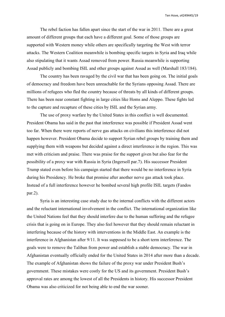The rebel faction has fallen apart since the start of the war in 2011. There are a great amount of different groups that each have a different goal. Some of those groups are supported with Western money while others are specifically targeting the West with terror attacks. The Western Coalition meanwhile is bombing specific targets in Syria and Iraq while also stipulating that it wants Assad removed from power. Russia meanwhile is supporting Assad publicly and bombing ISIL and other groups against Assad as well (Marshall 183/184).

The country has been ravaged by the civil war that has been going on. The initial goals of democracy and freedom have been unreachable for the Syrians opposing Assad. There are millions of refugees who fled the country because of threats by all kinds of different groups. There has been near constant fighting in large cities like Homs and Aleppo. These fights led to the capture and recapture of these cities by ISIL and the Syrian army.

The use of proxy warfare by the United States in this conflict is well documented. President Obama has said in the past that interference was possible if President Assad went too far. When there were reports of nerve gas attacks on civilians this interference did not happen however. President Obama decide to support Syrian rebel groups by training them and supplying them with weapons but decided against a direct interference in the region. This was met with criticism and praise. There was praise for the support given but also fear for the possibility of a proxy war with Russia in Syria (Ingersoll par.7). His successor President Trump stated even before his campaign started that there would be no interference in Syria during his Presidency. He broke that promise after another nerve gas attack took place. Instead of a full interference however he bombed several high profile ISIL targets (Fandos par.2).

Syria is an interesting case study due to the internal conflicts with the different actors and the reluctant international involvement in the conflict. The international organization like the United Nations feel that they should interfere due to the human suffering and the refugee crisis that is going on in Europe. They also feel however that they should remain reluctant in interfering because of the history with interventions in the Middle East. An example is the interference in Afghanistan after 9/11. It was supposed to be a short term interference. The goals were to remove the Taliban from power and establish a stable democracy. The war in Afghanistan eventually officially ended for the United States in 2014 after more than a decade. The example of Afghanistan shows the failure of the proxy war under President Bush's government. These mistakes were costly for the US and its government. President Bush's approval rates are among the lowest of all the Presidents in history. His successor President Obama was also criticized for not being able to end the war sooner.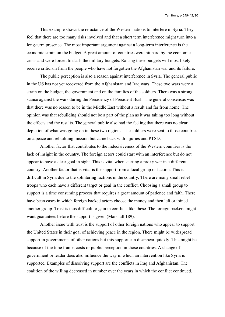This example shows the reluctance of the Western nations to interfere in Syria.They feel that there are too many risks involved and that a short term interference might turn into a long-term presence. The most important argument against a long-term interference is the economic strain on the budget. A great amount of countries were hit hard by the economic crisis and were forced to slash the military budgets. Raising these budgets will most likely receive criticism from the people who have not forgotten the Afghanistan war and its failure.

The public perception is also a reason against interference in Syria. The general public in the US has not yet recovered from the Afghanistan and Iraq wars. These two wars were a strain on the budget, the government and on the families of the soldiers. There was a strong stance against the wars during the Presidency of President Bush. The general consensus was that there was no reason to be in the Middle East without a result and far from home. The opinion was that rebuilding should not be a part of the plan as it was taking too long without the effects and the results. The general public also had the feeling that there was no clear depiction of what was going on in these two regions. The soldiers were sent to those countries on a peace and rebuilding mission but came back with injuries and PTSD.

Another factor that contributes to the indecisiveness of the Western countries is the lack of insight in the country. The foreign actors could start with an interference but do not appear to have a clear goal in sight. This is vital when starting a proxy war in a different country. Another factor that is vital is the support from a local group or faction. This is difficult in Syria due to the splintering factions in the country. There are many small rebel troops who each have a different target or goal in the conflict. Choosing a small group to support is a time consuming process that requires a great amount of patience and faith. There have been cases in which foreign backed actors choose the money and then left or joined another group. Trust is thus difficult to gain in conflicts like these. The foreign backers might want guarantees before the support is given (Marshall 189).

Another issue with trust is the support of other foreign nations who appear to support the United States in their goal of achieving peace in the region. There might be widespread support in governments of other nations but this support can disappear quickly. This might be because of the time frame, costs or public perception in those countries. A change of government or leader does also influence the way in which an intervention like Syria is supported. Examples of dissolving support are the conflicts in Iraq and Afghanistan. The coalition of the willing decreased in number over the years in which the conflict continued.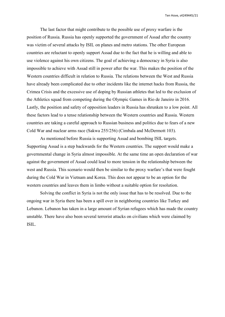The last factor that might contribute to the possible use of proxy warfare is the position of Russia. Russia has openly supported the government of Assad after the country was victim of several attacks by ISIL on planes and metro stations. The other European countries are reluctant to openly support Assad due to the fact that he is willing and able to use violence against his own citizens. The goal of achieving a democracy in Syria is also impossible to achieve with Assad still in power after the war. This makes the position of the Western countries difficult in relation to Russia. The relations between the West and Russia have already been complicated due to other incidents like the internet hacks from Russia, the Crimea Crisis and the excessive use of doping by Russian athletes that led to the exclusion of the Athletics squad from competing during the Olympic Games in Rio de Janeiro in 2016. Lastly, the position and safety of opposition leaders in Russia has shrunken to a low point. All these factors lead to a tense relationship between the Western countries and Russia. Western countries are taking a careful approach to Russian business and politics due to fears of a new Cold War and nucleararms race (Sakwa 255/256) (Cimbala and McDermott 103).

As mentioned before Russia is supporting Assad and bombing ISIL targets. Supporting Assad is a step backwards for the Western countries. The support would make a governmental change in Syria almost impossible. At the same time an open declaration of war against the government of Assad could lead to more tension in the relationship between the west and Russia. This scenario would then be similar to the proxy warfare's that were fought during the Cold War in Vietnam and Korea. This does not appear to be an option for the western countries and leaves them in limbo without a suitable option for resolution.

Solving the conflict in Syria is not the only issue that has to be resolved. Due to the ongoing war in Syria there has been a spill over in neighboring countries like Turkey and Lebanon. Lebanon has taken in a large amount of Syrian refugees which has made the country unstable. There have also been several terrorist attacks on civilians which were claimed by ISIL.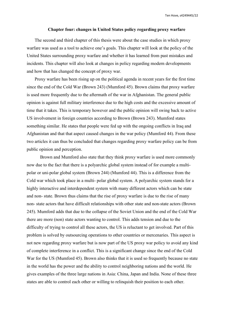### **Chapter four: changes in United States policy regarding proxy warfare**

The second and third chapter of this thesis were about the case studies in which proxy warfare was used as a tool to achieve one's goals. This chapter will look at the policy of the United States surrounding proxy warfare and whether it has learned from past mistakes and incidents. This chapter will also look at changes in policy regarding modern developments and how that has changed the concept of proxy war.

Proxy warfare has been rising up on the political agenda in recent years for the first time since the end of the Cold War (Brown 243) (Mumford 45). Brown claims that proxy warfare is used more frequently due to the aftermath of the war in Afghanistan. The general public opinion is against full military interference due to the high costs and the excessive amount of time that it takes. This is temporary however and the public opinion will swing back to active US involvement in foreign countries according to Brown (Brown 243). Mumford states something similar. He states that people were fed up with the ongoing conflicts in Iraq and Afghanistan and that that aspect caused changes in the war policy (Mumford 44). From these two articles it can thus be concluded that changes regarding proxy warfare policy can be from public opinion and perception.

Brown and Mumford also state that they think proxy warfare is used more commonly now due to the fact that there is a polyarchic global system instead of for example a multi polar or uni-polar global system (Brown 244) (Mumford 44). This is a difference from the Cold war which took place in a multi- polar global system. A polyarchic system stands for a highly interactive and interdependent system with many different actors which can be state and non- state. Brown thus claims that the rise of proxy warfare is due to the rise of many non- state actors that have difficult relationships with other state and non-state actors (Brown 245). Mumford adds that due to the collapse of the Soviet Union and the end of the Cold War there are more (non) state actors wanting to control. This adds tension and due to the difficulty of trying to control all these actors, the US is reluctant to get involved. Part of this problem is solved by outsourcing operations to other countries or mercenaries. This aspect is not new regarding proxy warfare but is now part of the US proxy war policy to avoid any kind of complete interference in a conflict. This is a significant change since the end of the Cold War for the US (Mumford 45). Brown also thinks that it is used so frequently because no state in the world has the power and the ability to control neighboring nations and the world. He gives examples of the three large nations in Asia: China, Japan and India. None of these three states are able to control each other or willing to relinquish their position to each other.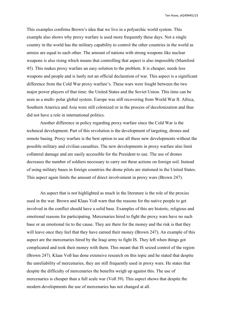This examples confirms Brown's idea that we live in a polyarchic world system. This example also shows why proxy warfare is used more frequently these days. Not a single country in the world has the military capability to control the other countries in the world as armies are equal to each other. The amount of nations with strong weapons like nuclear weapons is also rising which means that controlling that aspect is also impossible (Mumford 45). This makes proxy warfare an easy solution to the problem. It is cheaper, needs less weapons and people and is lastly not an official declaration of war. This aspect is a significant difference from the Cold War proxy warfare's. These wars were fought between the two major power players of that time: the United States and the Soviet Union. This time can be seen as a multi- polar global system. Europe was still recovering from World War II. Africa, Southern America and Asia were still colonized or in the process of decolonization and thus did not have a role in international politics.

Another difference in policy regarding proxy warfare since the Cold War is the technical development. Part of this revolution is the development of targeting, drones and remote basing. Proxy warfare is the best option to use all these new developments without the possible military and civilian casualties. The new developments in proxy warfare also limit collateral damage and are easily accessible for the President to use. The use of drones decreases the number of soldiers necessary to carry out these actions on foreign soil. Instead of using military bases in foreign countries the drone pilots are stationed in the United States. This aspect again limits the amount of direct involvement in proxy wars(Brown 247).

An aspect that is not highlighted as much in the literature is the role of the proxies used in the war. Brown and Klaas Voß warn that the reasons for the native people to get involved in the conflict should have a solid base. Examples of this are historic, religious and emotional reasons for participating. Mercenaries hired to fight the proxy wars have no such base or an emotional tie to the cause. They are there for the money and the risk is that they will leave once they feel that they have earned their money (Brown 247). An example of this aspect are the mercenaries hired by the Iraqi army to fight IS. They left when things got complicated and took their money with them. This meant that IS seized control of the region (Brown 247). Klaas Voß has done extensive research on this topic and he stated that despite the unreliability of mercenaries, they are still frequently used in proxy wars. He states that despite the difficulty of mercenaries the benefits weigh up against this. The use of mercenaries is cheaper than a full scale war (Voß 39). This aspect shows that despite the modern developments the use of mercenaries has not changed at all.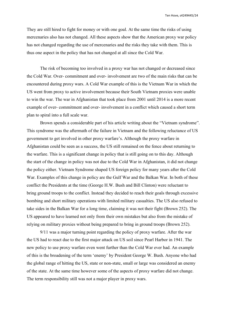They are still hired to fight for money or with one goal. At the same time the risks of using mercenaries also has not changed. All these aspects show that the American proxy war policy has not changed regarding the use of mercenaries and the risks they take with them. This is thus one aspect in the policy that has not changed at all since the Cold War.

The risk of becoming too involved in a proxy war has not changed or decreased since the Cold War. Over- commitment and over- involvement are two of the main risks that can be encountered during proxy wars. A Cold War example of this is the Vietnam War in which the US went from proxy to active involvement because their South Vietnam proxies were unable to win the war. The war in Afghanistan that took place from 2001 until 2014 is a more recent example of over- commitment and over- involvement in a conflict which caused a short term plan to spiral into a full scale war.

Brown spends a considerable part of his article writing about the "Vietnam syndrome". This syndrome was the aftermath of the failure in Vietnam and the following reluctance of US government to get involved in other proxy warfare's. Although the proxy warfare in Afghanistan could be seen as a success, the US still remained on the fence about returning to the warfare. This is a significant change in policy that is still going on to this day. Although the start of the change in policy was not due to the Cold War in Afghanistan, it did not change the policy either. Vietnam Syndrome shaped US foreign policy for many years after the Cold War. Examples of this change in policy are the Gulf War and the Balkan War. In both of these conflict the Presidents at the time (George H.W. Bush and Bill Clinton) were reluctant to bring ground troops to the conflict. Instead they decided to reach their goals through excessive bombing and short military operations with limited military casualties. The US also refused to take sides in the Balkan War for a long time, claiming it was not their fight (Brown 252). The US appeared to have learned not only from their own mistakes but also from the mistake of relying on military proxies without being prepared to bring in ground troops (Brown 252).

9/11 was a major turning point regarding the policy of proxy warfare. After the war the US had to react due to the first major attack on US soil since Pearl Harbor in 1941. The new policy to use proxy warfare even went further than the Cold War ever had. An example of this is the broadening of the term 'enemy' by President George W. Bush. Anyone who had the global range of hitting the US, state or non-state, small or large was considered an enemy of the state. At the same time however some of the aspects of proxy warfare did not change. The term responsibility still was not a major player in proxy wars.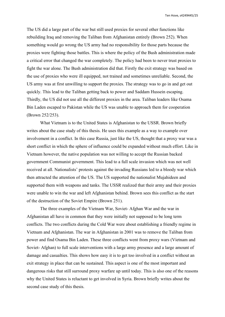The US did alarge part of the war but still used proxies for several other functions like rebuilding Iraq and removing the Taliban from Afghanistan entirely (Brown 252). When something would go wrong the US army had no responsibility for those parts because the proxies were fighting those battles. This is where the policy of the Bush administration made a critical error that changed the war completely. The policy had been to never trust proxies to fight the war alone. The Bush administration did that. Firstly the exit strategy was based on the use of proxies who were ill equipped, not trained and sometimes unreliable. Second, the US army was at first unwilling to support the proxies. The strategy was to go in and get out quickly. This lead to the Taliban getting back to power and Saddam Hussein escaping. Thirdly, the US did not use all the different proxies in the area. Taliban leaders like Osama Bin Laden escaped to Pakistan while the US was unable to approach them for cooperation (Brown 252/253).

What Vietnam is to the United States is Afghanistan to the USSR. Brown briefly writes about the case study of this thesis. He uses this example as a way to example over involvement in a conflict. In this case Russia, just like the US, thought that a proxy war was a short conflict in which the sphere of influence could be expanded without much effort. Like in Vietnam however, the native population was not willing to accept the Russian backed government Communist government. This lead to a full scale invasion which was not well received at all. Nationalists' protests against the invading Russians led to a bloody war which then attracted the attention of the US. The US supported the nationalist Mujahideen and supported them with weapons and tanks. The USSR realized that their army and their proxies were unable to win the war and left Afghanistan behind. Brown sees this conflict as the start of the destruction of the Soviet Empire (Brown 251).

The three examples of the Vietnam War, Soviet- Afghan War and the war in Afghanistan all have in common that they were initially not supposed to be long term conflicts. The two conflicts during the Cold War were about establishing a friendly regime in Vietnam and Afghanistan. The war in Afghanistan in 2001 was to remove the Taliban from power and find Osama Bin Laden. These three conflicts went from proxy wars (Vietnam and Soviet- Afghan) to full scale interventions with a large army presence and a large amount of damage and casualties. This shows how easy it is to get too involved in a conflict without an exit strategy in place that can be sustained. This aspect is one of the most important and dangerous risks that still surround proxy warfare up until today. This is also one of the reasons why the United States is reluctant to get involved in Syria. Brown briefly writes about the second case study of this thesis.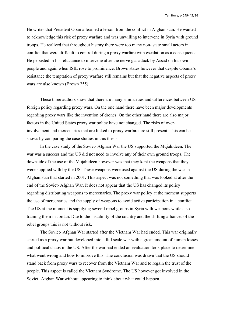He writes that President Obama learned a lesson from the conflict in Afghanistan. He wanted to acknowledge this risk of proxy warfare and was unwilling to intervene in Syria with ground troops. He realized that throughout history there were too many non- state small actors in conflict that were difficult to control during a proxy warfare with escalation as a consequence. He persisted in his reluctance to intervene after the nerve gas attack by Assad on his own people and again when ISIL rose to prominence. Brown states however that despite Obama's resistance the temptation of proxy warfare still remains but that the negative aspects of proxy wars are also known (Brown 255).

These three authors show that there are many similarities and differences between US foreign policy regarding proxy wars. On the one hand there have been major developments regarding proxy wars like the invention of drones. On the other hand there are also major factors in the United States proxy war policy have not changed. The risks of overinvolvement and mercenaries that are linked to proxy warfare are still present. This can be shows by comparing the case studies in this thesis.

In the case study of the Soviet- Afghan War the US supported the Mujahideen. The war was a success and the US did not need to involve any of their own ground troops. The downside of the use of the Mujahideen however was that they kept the weapons that they were supplied with by the US. These weapons were used against the US during the war in Afghanistan that started in 2001. This aspect was not something that was looked at after the end of the Soviet- Afghan War. It does not appear that the US has changed its policy regarding distributing weapons to mercenaries. The proxy war policy at the moment supports the use of mercenaries and the supply of weapons to avoid active participation in a conflict. The US at the moment is supplying several rebel groups in Syria with weapons while also training them in Jordan. Due to the instability of the country and the shifting alliances ofthe rebel groups this is not without risk.

The Soviet- Afghan War started after the Vietnam War had ended. This war originally started as a proxy war but developed into a full scale war with a great amount of human losses and political chaos in the US. After the war had ended an evaluation took place to determine what went wrong and how to improve this. The conclusion was drawn that the US should stand back from proxy wars to recover from the Vietnam War and to regain the trust of the people. This aspect is called the Vietnam Syndrome. The US however got involved in the Soviet- Afghan War without appearing to think about what could happen.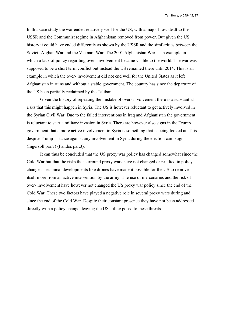In this case study the war ended relatively well for the US, with a major blow dealt to the USSR and the Communist regime in Afghanistan removed from power. But given the US history it could have ended differently as shown by the USSR and the similarities between the Soviet- Afghan War and the Vietnam War. The 2001 Afghanistan War is an example in which a lack of policy regarding over- involvement became visible to the world. The war was supposed to be a short term conflict but instead the US remained there until 2014. This is an example in which the over- involvement did not end well for the United States as it left Afghanistan in ruins and without a stable government. The country has since the departure of the US been partially reclaimed by the Taliban.

Given the history of repeating the mistake of over- involvement there is a substantial risks that this might happen in Syria. The US is however reluctant to get actively involved in the Syrian Civil War. Due to the failed interventions in Iraq and Afghanistan the government is reluctant to start a military invasion in Syria. There are however also signs in the Trump government that a more active involvement in Syria is something that is being looked at. This despite Trump's stance against any involvement in Syria during the election campaign (Ingersoll par.7) (Fandos par.3).

It can thus be concluded that the US proxy war policy has changed somewhat since the Cold War but that the risks that surround proxy wars have not changed or resulted in policy changes. Technical developments like drones have made it possible for the US to remove itself more from an active intervention by the army. The use of mercenaries and the risk of over- involvement have however not changed the US proxy war policy since the end of the Cold War. These two factors have played a negative role in several proxy wars during and since the end of the Cold War. Despite their constant presence they have not been addressed directly with a policy change, leaving the US still exposed to these threats.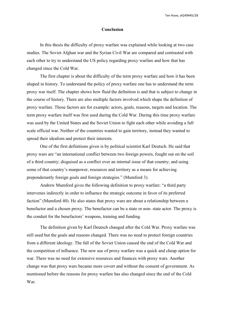## **Conclusion**

In this thesis the difficulty of proxy warfare was explained while looking at two case studies. The Soviet Afghan war and the Syrian Civil War are compared and contrasted with each other to try to understand the US policy regarding proxy warfare and how that has changed since the Cold War.

The first chapter is about the difficulty of the term proxy warfare and how it has been shaped in history. To understand the policy of proxy warfare one has to understand the term proxy war itself. The chapter shows how fluid the definition is and that is subject to change in the course of history. There are also multiple factors involved which shape the definition of proxy warfare. Those factors are for example: actors, goals, reasons, targets and location. The term proxy warfare itself was first used during the Cold War. During this time proxy warfare was used by the United States and the Soviet Union to fight each other while avoiding a full scale official war. Neither of the countries wanted to gain territory, instead they wanted to spread their idealism and protect their interests.

One of the first definitions given is by political scientist Karl Deutsch. He said that proxy wars are "an international conflict between two foreign powers, fought out on the soil of a third country; disguised as a conflict over an internal issue of that country; and using some of that country's manpower, resources and territory as a means for achieving preponderantly foreign goals and foreign strategies." (Mumford 3).

Andrew Mumford gives the following definition to proxy warfare: "a third party intervenes indirectly in order to influence the strategic outcome in favor of its preferred faction" (Mumford 40). He also states that proxy wars are about a relationship between a benefactor and a chosen proxy. The benefactor can be a state or non- state actor. The proxy is the conduit for the benefactors' weapons, training and funding.

The definition given by Karl Deutsch changed after the Cold War. Proxy warfare was still used but the goals and reasons changed. There was no need to protect foreign countries from a different ideology. The fall of the Soviet Union caused the end of the Cold War and the competition of influence. The new use of proxy warfare was a quick and cheap option for war. There was no need for extensive resources and finances with proxy wars. Another change was that proxy warsbecame more covert and without the consent of government. As mentioned before the reasons for proxy warfare has also changed since the end of the Cold War.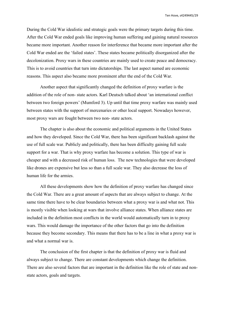During the Cold War idealistic and strategic goals were the primary targets during this time. After the Cold War ended goals like improving human suffering and gaining natural resources became more important. Another reason for interference that became more important after the Cold War ended are the 'failed states'. These states became politically disorganized after the decolonization. Proxy wars in these countries are mainly used to create peace and democracy. This is to avoid countries that turn into dictatorships. The last aspect named are economic reasons. This aspect also became more prominent after the end of the Cold War.

Another aspect that significantly changed the definition of proxy warfare is the addition of the role of non- state actors. Karl Deutsch talked about 'an international conflict between two foreign powers' (Mumford 3). Up until that time proxy warfare was mainly used between states with the support of mercenaries or other local support. Nowadays however, most proxy wars are fought between two non-state actors.

The chapter is also about the economic and political arguments in the United States and how they developed. Since the Cold War, there has been significant backlash against the use of full scale war. Publicly and politically, there has been difficulty gaining full scale support for a war. That is why proxy warfare has become a solution. This type of war is cheaper and with a decreased risk of human loss. The new technologies that were developed like drones are expensive but less so than a full scale war. They also decrease the loss of human life for the armies.

All these developments show how the definition of proxy warfare has changed since the Cold War. There are a great amount of aspects that are always subject to change. At the same time there have to be clear boundaries between what a proxy war is and what not. This is mostly visible when looking at wars that involve alliance states. When alliance states are included in the definition most conflicts in the world would automatically turn in to proxy wars. This would damage the importance of the other factors that go into the definition because they become secondary. This means that there has to be a line in what a proxy war is and what a normal war is.

The conclusion of the first chapter is that the definition of proxy war is fluid and always subject to change. There are constant developments which change the definition. There are also several factors that are important in the definition like the role of state and non state actors, goals and targets.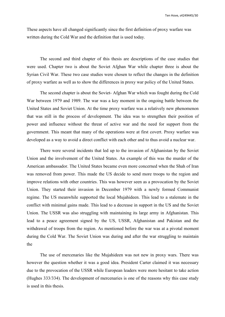These aspects have all changed significantly since the first definition of proxy warfare was written during the Cold War and the definition that is used today.

The second and third chapter of this thesis are descriptions of the case studies that were used. Chapter two is about the Soviet Afghan War while chapter three is about the Syrian Civil War. These two case studies were chosen to reflect the changes in the definition of proxy warfare as well as to show the differences in proxy war policy of the United States.

The second chapter is about the Soviet- Afghan War which was fought during the Cold War between 1979 and 1989. The war was a key moment in the ongoing battle between the United States and Soviet Union. At the time proxy warfare was a relatively new phenomenon that was still in the process of development. The idea was to strengthen their position of power and influence without the threat of active war and the need for support from the government. This meant that many of the operations were at first covert. Proxy warfare was developed as a way to avoid a direct conflict with each other and to thus avoid a nuclear war.

There were several incidents that led up to the invasion of Afghanistan by the Soviet Union and the involvement of the United States. An example of this was the murder of the American ambassador. The United States became even more concerned when the Shah of Iran was removed from power. This made the US decide to send more troops to the region and improve relations with other countries. This was however seen as a provocation by the Soviet Union. They started their invasion in December 1979 with a newly formed Communist regime. The US meanwhile supported the local Mujahideen. This lead to a stalemate in the conflict with minimal gains made. This lead to a decrease in support in the US and the Soviet Union. The USSR was also struggling with maintaining its large army in Afghanistan. This lead to a peace agreement signed by the US, USSR, Afghanistan and Pakistan and the withdrawal of troops from the region. As mentioned before the war was at a pivotal moment during the Cold War. The Soviet Union was during and after the war struggling to maintain the

The use of mercenaries like the Mujahideen was not new in proxy wars. There was however the question whether it was a good idea. President Carter claimed it was necessary due to the provocation of the USSR while European leaders were more hesitant to take action (Hughes 333/334). The development of mercenaries is one of the reasons why this case study is used in this thesis.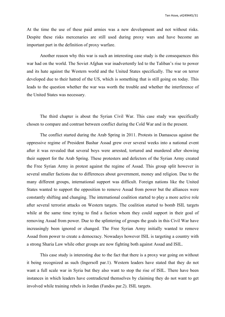At the time the use of these paid armies was a new development and not without risks. Despite these risks mercenaries are still used during proxy wars and have become an important part in the definition of proxy warfare.

Another reason why this war is such an interesting case study is the consequences this war had on the world. The Soviet Afghan war inadvertently led to the Taliban's rise to power and its hate against the Western world and the United States specifically. The war on terror developed due to their hatred of the US, which is something that is still going on today. This leads to the question whether the war was worth the trouble and whether the interference of the United States was necessary.

The third chapter is about the Syrian Civil War. This case study was specifically chosen to compare and contrast between conflict during the Cold War and in the present.

The conflict started during the Arab Spring in 2011. Protests in Damascus against the oppressive regime of President Bashar Assad grew over several weeks into a national event after it was revealed that several boys were arrested, tortured and murdered after showing their support for the Arab Spring. These protesters and defectors of the Syrian Army created the Free Syrian Army in protest against the regime of Assad. This group split however in several smaller factions due to differences about government, money and religion. Due to the many different groups, international support was difficult. Foreign nations like the United States wanted to support the opposition to remove Assad from power but the alliances were constantly shifting and changing. The international coalition started to play a more active role after several terrorist attacks on Western targets. The coalition started to bomb ISIL targets while at the same time trying to find a faction whom they could support in their goal of removing Assad from power. Due to the splintering of groups the goals in this Civil War have increasingly been ignored or changed. The Free Syrian Army initially wanted to remove Assad from power to create a democracy. Nowadays however ISIL is targeting a country with a strong Sharia Law while other groups are now fighting both against Assad and ISIL.

This case study is interesting due to the fact that there is a proxy war going on without it being recognized as such (Ingersoll par.1). Western leaders have stated that they do not want a full scale war in Syria but they also want to stop the rise of ISIL. There have been instances in which leaders have contradicted themselves by claiming they do not want to get involved while training rebels in Jordan (Fandos par.2). ISIL targets.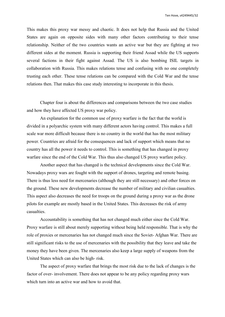This makes this proxy war messy and chaotic. It does not help that Russia and the United States are again on opposite sides with many other factors contributing to their tense relationship. Neither of the two countries wants an active war but they are fighting at two different sides at the moment. Russia is supporting their friend Assad while the US supports several factions in their fight against Assad. The US is also bombing ISIL targets in collaboration with Russia. This makes relations tense and confusing with no one completely trusting each other.These tense relations can be compared with the Cold War and the tense relations then. That makes this case study interesting to incorporate in this thesis.

Chapter four is about the differences and comparisons between the two case studies and how they have affected US proxy war policy.<br>An explanation for the common use of proxy warfare is the fact that the world is

divided in a polyarchic system with many different actors having control. This makes a full scale war more difficult because there is no country in the world that has the most military power. Countries are afraid for the consequences and lack of support which means that no country has all the power it needs to control. This is something that has changed in proxy warfare since the end of the Cold War. This thus also changed US proxy warfare policy.

Another aspect that has changed is the technical developments since the Cold War. Nowadays proxy wars are fought with the support of drones, targeting and remote basing. There is thus less need for mercenaries (although they are still necessary) and other forces on the ground. These new developments decrease the number of military and civilian casualties. This aspect also decreases the need for troops on the ground during a proxy war as the drone pilots for example are mostly based in the United States. This decreases the risk of army casualties.

Accountability is something that has not changed much either since the Cold War. Proxy warfare is still about merely supporting without being held responsible. That is why the role of proxies or mercenaries has not changed much since the Soviet-Afghan War. There are still significant risks to the use of mercenaries with the possibility that they leave and take the money they have been given. The mercenaries also keep a large supply of weapons from the United States which can also be high- risk.

The aspect of proxy warfare that brings the most risk due to the lack of changes is the factor of over- involvement. There does not appear to be any policy regarding proxy wars which turn into an active war and how to avoid that.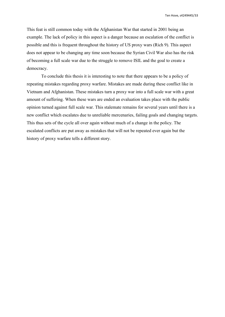This feat is still common today with the Afghanistan War that started in 2001 being an example. The lack of policy in this aspect is a danger because an escalation of the conflict is possible and this is frequent throughout the history of US proxy wars(Rich 9). This aspect does not appear to be changing any time soon because the Syrian Civil War also has the risk of becoming a full scale war due to the struggle to remove ISIL and thegoal to create a democracy.

To conclude this thesis it is interesting to note that there appears to be a policy of repeating mistakes regarding proxy warfare. Mistakes are made during these conflict like in Vietnam and Afghanistan. These mistakes turn a proxy war into a full scale war with a great amount of suffering. When these wars are ended an evaluation takes place with the public opinion turned against full scale war. This stalemate remains for several years until there is a new conflict which escalates due to unreliable mercenaries, failing goals and changing targets. This thus sets of the cycle all over again without much of a change in the policy. The escalated conflicts are put away as mistakes that will not be repeated ever again but the history of proxy warfare tells a different story.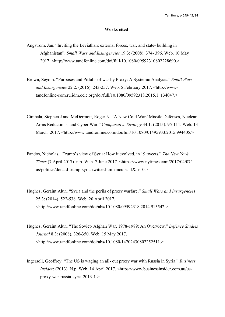### **Works cited**

- Angstrom, Jan. "Inviting the Leviathan: external forces, war, and state- building in Afghanistan". *Small Wars and Insurgencies* 19.3: (2008). 374- 396. Web. 10 May 2017. <http://www.tandfonline.com/doi/full/10.1080/09592310802228690.>
- Brown, Seyom. "Purposes and Pitfalls of war by Proxy: A Systemic Analysis." *Small Wars and Insurgencies* 22.2: (2016). 243-257. Web. 5 February 2017. <http://wwwtandfonline-com.ru.idm.oclc.org/doi/full/10.1080/09592318.2015.1 134047.>
- Cimbala, Stephen J and McDermott, Roger N. "A New Cold War? Missile Defenses, Nuclear Arms Reductions, and Cyber War." *Comparative Strategy* 34.1: (2015). 95-111. Web. 13 March 2017. <http://www.tandfonline.com/doi/full/10.1080/01495933.2015.994405.>
- Fandos, Nicholas. "Trump's view of Syria: How it evolved, in 19 tweets." *The New York Times* (7 April 2017). n.p. Web. 7 June 2017. <https://www.nytimes.com/2017/04/07/ us/politics/donald-trump-syria-twitter.html?mcubz=1& $r=0.$ >
- Hughes, Geraint Alun. "Syria and the perils of proxy warfare." *Small Wars and Insurgencie*s 25.3: (2014). 522-538. Web. 20 April 2017. <http://www.tandfonline.com/doi/abs/10.1080/09592318.2014.913542.>
- Hughes, Geraint Alun. "The Soviet- Afghan War, 1978-1989: An Overview." *Defence Studies Journal* 8.3: (2008). 326-350. Web. 15 May 2017. <http://www.tandfonline.com/doi/abs/10.1080/14702430802252511.>
- Ingersoll, Geoffrey. "The US is waging an all- out proxy war with Russia in Syria." *Business Insider*: (2013). N.p. Web. 14 April 2017. <https://www.businessinsider.com.au/us proxy-war-russia-syria-2013-1.>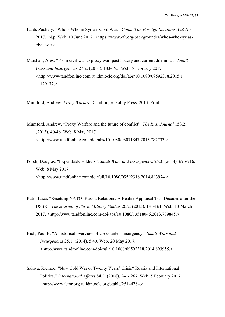- Laub, Zachary. "Who's Who in Syria's Civil War." *Council on Foreign Relations*: (28 April 2017). N.p. Web. 10 June 2017. <https://www.cfr.org/backgrounder/whos-who-syrias civil-war.>
- Marshall, Alex. "From civil war to proxy war: past history and current dilemmas." *Small Wars and Insurgencies* 27.2: (2016). 183-195. Web. 5 February 2017. <http://www-tandfonline-com.ru.idm.oclc.org/doi/abs/10.1080/09592318.2015.1 129172.>

Mumford, Andrew. *Proxy Warfare.* Cambridge: Polity Press, 2013. Print.

- Mumford, Andrew. "Proxy Warfare and the future of conflict". *The Rusi Journal* 158.2: (2013). 40-46. Web. 8 May 2017. <http://www.tandfonline.com/doi/abs/10.1080/03071847.2013.787733.>
- Porch, Douglas. "Expendable soldiers". *Small Wars and Insurgencies* 25.3: (2014). 696-716. Web. 8 May 2017. <http://www.tandfonline.com/doi/full/10.1080/09592318.2014.893974.>
- Ratti, Luca. "Resetting NATO- Russia Relations: A Realist Appraisal Two Decades after the USSR." *The Journal of Slavic Military Studies* 26.2: (2013). 141-161. Web. 13 March 2017. <http://www.tandfonline.com/doi/abs/10.1080/13518046.2013.779845.>
- Rich, Paul B. "A historical overview of US counter- insurgency." *Small Wars and Insurgencies* 25.1: (2014). 5.40. Web. 20 May 2017. <http://www.tandfonline.com/doi/full/10.1080/09592318.2014.893955.>
- Sakwa, Richard. "New Cold War or Twenty Years' Crisis? Russia and International Politics." *International Af airs* 84.2: (2008). 241- 267. Web. 5 February 2017. <http://www.jstor.org.ru.idm.oclc.org/stable/25144764.>